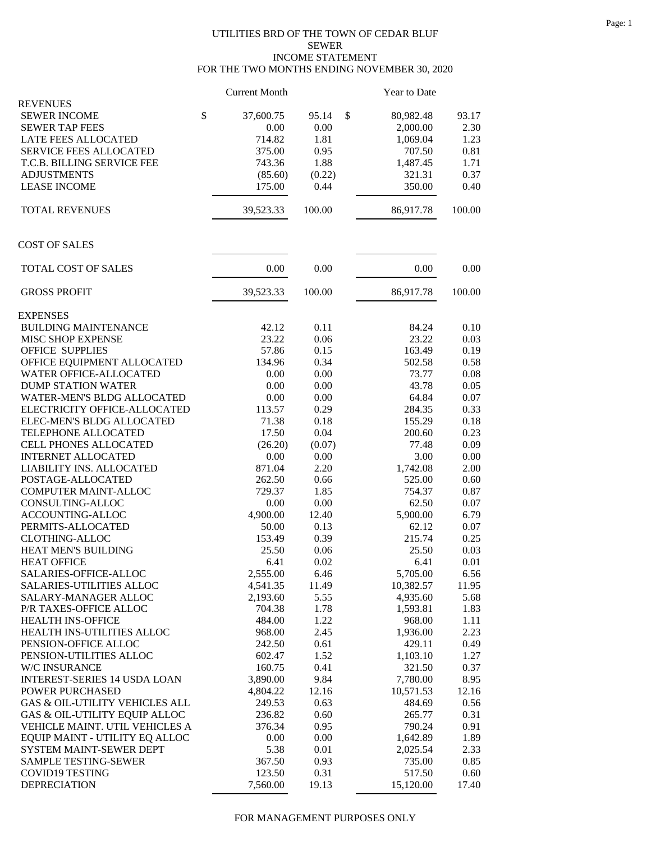## UTILITIES BRD OF THE TOWN OF CEDAR BLUF SEWER INCOME STATEMENT FOR THE TWO MONTHS ENDING NOVEMBER 30, 2020

| \$<br>\$<br><b>SEWER INCOME</b><br>37,600.75<br>95.14<br>80,982.48<br>93.17<br>0.00<br>0.00<br>2,000.00<br>2.30<br><b>SEWER TAP FEES</b><br>LATE FEES ALLOCATED<br>714.82<br>1.81<br>1,069.04<br>1.23<br>SERVICE FEES ALLOCATED<br>0.81<br>375.00<br>0.95<br>707.50<br>T.C.B. BILLING SERVICE FEE<br>743.36<br>1.88<br>1,487.45<br>1.71<br>0.37<br><b>ADJUSTMENTS</b><br>(0.22)<br>321.31<br>(85.60)<br>350.00<br>0.40<br><b>LEASE INCOME</b><br>175.00<br>0.44<br><b>TOTAL REVENUES</b><br>39,523.33<br>100.00<br>86,917.78<br>100.00<br>TOTAL COST OF SALES<br>0.00<br>0.00<br>0.00<br>0.00<br><b>GROSS PROFIT</b><br>39,523.33<br>100.00<br>86,917.78<br>100.00<br><b>BUILDING MAINTENANCE</b><br>42.12<br>0.11<br>84.24<br>0.10<br>23.22<br>MISC SHOP EXPENSE<br>23.22<br>0.06<br>0.03<br><b>OFFICE SUPPLIES</b><br>57.86<br>0.15<br>163.49<br>0.19<br>OFFICE EQUIPMENT ALLOCATED<br>134.96<br>0.34<br>502.58<br>0.58<br>73.77<br><b>WATER OFFICE-ALLOCATED</b><br>0.00<br>0.00<br>0.08<br><b>DUMP STATION WATER</b><br>0.05<br>0.00<br>0.00<br>43.78<br>WATER-MEN'S BLDG ALLOCATED<br>0.00<br>0.00<br>64.84<br>0.07<br>0.33<br>ELECTRICITY OFFICE-ALLOCATED<br>113.57<br>0.29<br>284.35<br>155.29<br>ELEC-MEN'S BLDG ALLOCATED<br>71.38<br>0.18<br>0.18<br>0.23<br>TELEPHONE ALLOCATED<br>17.50<br>0.04<br>200.60<br>0.09<br><b>CELL PHONES ALLOCATED</b><br>(26.20)<br>(0.07)<br>77.48<br>0.00<br><b>INTERNET ALLOCATED</b><br>0.00<br>0.00<br>3.00<br>2.00<br>LIABILITY INS. ALLOCATED<br>871.04<br>2.20<br>1,742.08<br>POSTAGE-ALLOCATED<br>262.50<br>0.66<br>0.60<br>525.00<br>729.37<br>COMPUTER MAINT-ALLOC<br>1.85<br>754.37<br>0.87<br>CONSULTING-ALLOC<br>0.00<br>62.50<br>0.07<br>0.00<br>4,900.00<br>ACCOUNTING-ALLOC<br>12.40<br>5,900.00<br>6.79<br>PERMITS-ALLOCATED<br>50.00<br>0.13<br>62.12<br>0.07<br><b>CLOTHING-ALLOC</b><br>153.49<br>0.39<br>215.74<br>0.25<br>HEAT MEN'S BUILDING<br>25.50<br>0.06<br>25.50<br>0.03<br>0.02<br>0.01<br><b>HEAT OFFICE</b><br>6.41<br>6.41<br>SALARIES-OFFICE-ALLOC<br>2,555.00<br>6.46<br>5,705.00<br>6.56<br>4,541.35<br>10,382.57<br><b>SALARIES-UTILITIES ALLOC</b><br>11.49<br>11.95<br>4,935.60<br>SALARY-MANAGER ALLOC<br>2,193.60<br>5.55<br>5.68<br>P/R TAXES-OFFICE ALLOC<br>704.38<br>1.78<br>1,593.81<br>1.83<br>1.22<br><b>HEALTH INS-OFFICE</b><br>484.00<br>968.00<br>1.11<br>HEALTH INS-UTILITIES ALLOC<br>968.00<br>2.23<br>2.45<br>1,936.00<br>PENSION-OFFICE ALLOC<br>242.50<br>0.61<br>429.11<br>0.49<br>PENSION-UTILITIES ALLOC<br>602.47<br>1.52<br>1,103.10<br>1.27<br>W/C INSURANCE<br>160.75<br>0.41<br>321.50<br>0.37<br><b>INTEREST-SERIES 14 USDA LOAN</b><br>7,780.00<br>8.95<br>3,890.00<br>9.84<br>POWER PURCHASED<br>4,804.22<br>12.16<br>12.16<br>10,571.53<br>GAS & OIL-UTILITY VEHICLES ALL<br>249.53<br>0.63<br>484.69<br>0.56<br>GAS & OIL-UTILITY EQUIP ALLOC<br>236.82<br>0.60<br>265.77<br>0.31<br>VEHICLE MAINT. UTIL VEHICLES A<br>376.34<br>0.95<br>790.24<br>0.91<br>EQUIP MAINT - UTILITY EQ ALLOC<br>0.00<br>0.00<br>1,642.89<br>1.89<br>SYSTEM MAINT-SEWER DEPT<br>5.38<br>0.01<br>2,025.54<br>2.33<br><b>SAMPLE TESTING-SEWER</b><br>367.50<br>0.93<br>735.00<br>0.85<br>123.50<br>COVID19 TESTING<br>0.31<br>517.50<br>0.60<br><b>DEPRECIATION</b><br>19.13<br>15,120.00<br>17.40<br>7,560.00 |                      | <b>Current Month</b> | <b>Year to Date</b> |  |
|-----------------------------------------------------------------------------------------------------------------------------------------------------------------------------------------------------------------------------------------------------------------------------------------------------------------------------------------------------------------------------------------------------------------------------------------------------------------------------------------------------------------------------------------------------------------------------------------------------------------------------------------------------------------------------------------------------------------------------------------------------------------------------------------------------------------------------------------------------------------------------------------------------------------------------------------------------------------------------------------------------------------------------------------------------------------------------------------------------------------------------------------------------------------------------------------------------------------------------------------------------------------------------------------------------------------------------------------------------------------------------------------------------------------------------------------------------------------------------------------------------------------------------------------------------------------------------------------------------------------------------------------------------------------------------------------------------------------------------------------------------------------------------------------------------------------------------------------------------------------------------------------------------------------------------------------------------------------------------------------------------------------------------------------------------------------------------------------------------------------------------------------------------------------------------------------------------------------------------------------------------------------------------------------------------------------------------------------------------------------------------------------------------------------------------------------------------------------------------------------------------------------------------------------------------------------------------------------------------------------------------------------------------------------------------------------------------------------------------------------------------------------------------------------------------------------------------------------------------------------------------------------------------------------------------------------------------------------------------------------------------------------------------------------------------------------------------------------------------------------------------------------------------------------------------------------------------------------------------------------------------------------------------------------------------------|----------------------|----------------------|---------------------|--|
|                                                                                                                                                                                                                                                                                                                                                                                                                                                                                                                                                                                                                                                                                                                                                                                                                                                                                                                                                                                                                                                                                                                                                                                                                                                                                                                                                                                                                                                                                                                                                                                                                                                                                                                                                                                                                                                                                                                                                                                                                                                                                                                                                                                                                                                                                                                                                                                                                                                                                                                                                                                                                                                                                                                                                                                                                                                                                                                                                                                                                                                                                                                                                                                                                                                                                                           | <b>REVENUES</b>      |                      |                     |  |
|                                                                                                                                                                                                                                                                                                                                                                                                                                                                                                                                                                                                                                                                                                                                                                                                                                                                                                                                                                                                                                                                                                                                                                                                                                                                                                                                                                                                                                                                                                                                                                                                                                                                                                                                                                                                                                                                                                                                                                                                                                                                                                                                                                                                                                                                                                                                                                                                                                                                                                                                                                                                                                                                                                                                                                                                                                                                                                                                                                                                                                                                                                                                                                                                                                                                                                           |                      |                      |                     |  |
|                                                                                                                                                                                                                                                                                                                                                                                                                                                                                                                                                                                                                                                                                                                                                                                                                                                                                                                                                                                                                                                                                                                                                                                                                                                                                                                                                                                                                                                                                                                                                                                                                                                                                                                                                                                                                                                                                                                                                                                                                                                                                                                                                                                                                                                                                                                                                                                                                                                                                                                                                                                                                                                                                                                                                                                                                                                                                                                                                                                                                                                                                                                                                                                                                                                                                                           |                      |                      |                     |  |
|                                                                                                                                                                                                                                                                                                                                                                                                                                                                                                                                                                                                                                                                                                                                                                                                                                                                                                                                                                                                                                                                                                                                                                                                                                                                                                                                                                                                                                                                                                                                                                                                                                                                                                                                                                                                                                                                                                                                                                                                                                                                                                                                                                                                                                                                                                                                                                                                                                                                                                                                                                                                                                                                                                                                                                                                                                                                                                                                                                                                                                                                                                                                                                                                                                                                                                           |                      |                      |                     |  |
|                                                                                                                                                                                                                                                                                                                                                                                                                                                                                                                                                                                                                                                                                                                                                                                                                                                                                                                                                                                                                                                                                                                                                                                                                                                                                                                                                                                                                                                                                                                                                                                                                                                                                                                                                                                                                                                                                                                                                                                                                                                                                                                                                                                                                                                                                                                                                                                                                                                                                                                                                                                                                                                                                                                                                                                                                                                                                                                                                                                                                                                                                                                                                                                                                                                                                                           |                      |                      |                     |  |
|                                                                                                                                                                                                                                                                                                                                                                                                                                                                                                                                                                                                                                                                                                                                                                                                                                                                                                                                                                                                                                                                                                                                                                                                                                                                                                                                                                                                                                                                                                                                                                                                                                                                                                                                                                                                                                                                                                                                                                                                                                                                                                                                                                                                                                                                                                                                                                                                                                                                                                                                                                                                                                                                                                                                                                                                                                                                                                                                                                                                                                                                                                                                                                                                                                                                                                           |                      |                      |                     |  |
|                                                                                                                                                                                                                                                                                                                                                                                                                                                                                                                                                                                                                                                                                                                                                                                                                                                                                                                                                                                                                                                                                                                                                                                                                                                                                                                                                                                                                                                                                                                                                                                                                                                                                                                                                                                                                                                                                                                                                                                                                                                                                                                                                                                                                                                                                                                                                                                                                                                                                                                                                                                                                                                                                                                                                                                                                                                                                                                                                                                                                                                                                                                                                                                                                                                                                                           |                      |                      |                     |  |
|                                                                                                                                                                                                                                                                                                                                                                                                                                                                                                                                                                                                                                                                                                                                                                                                                                                                                                                                                                                                                                                                                                                                                                                                                                                                                                                                                                                                                                                                                                                                                                                                                                                                                                                                                                                                                                                                                                                                                                                                                                                                                                                                                                                                                                                                                                                                                                                                                                                                                                                                                                                                                                                                                                                                                                                                                                                                                                                                                                                                                                                                                                                                                                                                                                                                                                           |                      |                      |                     |  |
|                                                                                                                                                                                                                                                                                                                                                                                                                                                                                                                                                                                                                                                                                                                                                                                                                                                                                                                                                                                                                                                                                                                                                                                                                                                                                                                                                                                                                                                                                                                                                                                                                                                                                                                                                                                                                                                                                                                                                                                                                                                                                                                                                                                                                                                                                                                                                                                                                                                                                                                                                                                                                                                                                                                                                                                                                                                                                                                                                                                                                                                                                                                                                                                                                                                                                                           |                      |                      |                     |  |
|                                                                                                                                                                                                                                                                                                                                                                                                                                                                                                                                                                                                                                                                                                                                                                                                                                                                                                                                                                                                                                                                                                                                                                                                                                                                                                                                                                                                                                                                                                                                                                                                                                                                                                                                                                                                                                                                                                                                                                                                                                                                                                                                                                                                                                                                                                                                                                                                                                                                                                                                                                                                                                                                                                                                                                                                                                                                                                                                                                                                                                                                                                                                                                                                                                                                                                           | <b>COST OF SALES</b> |                      |                     |  |
|                                                                                                                                                                                                                                                                                                                                                                                                                                                                                                                                                                                                                                                                                                                                                                                                                                                                                                                                                                                                                                                                                                                                                                                                                                                                                                                                                                                                                                                                                                                                                                                                                                                                                                                                                                                                                                                                                                                                                                                                                                                                                                                                                                                                                                                                                                                                                                                                                                                                                                                                                                                                                                                                                                                                                                                                                                                                                                                                                                                                                                                                                                                                                                                                                                                                                                           |                      |                      |                     |  |
|                                                                                                                                                                                                                                                                                                                                                                                                                                                                                                                                                                                                                                                                                                                                                                                                                                                                                                                                                                                                                                                                                                                                                                                                                                                                                                                                                                                                                                                                                                                                                                                                                                                                                                                                                                                                                                                                                                                                                                                                                                                                                                                                                                                                                                                                                                                                                                                                                                                                                                                                                                                                                                                                                                                                                                                                                                                                                                                                                                                                                                                                                                                                                                                                                                                                                                           |                      |                      |                     |  |
|                                                                                                                                                                                                                                                                                                                                                                                                                                                                                                                                                                                                                                                                                                                                                                                                                                                                                                                                                                                                                                                                                                                                                                                                                                                                                                                                                                                                                                                                                                                                                                                                                                                                                                                                                                                                                                                                                                                                                                                                                                                                                                                                                                                                                                                                                                                                                                                                                                                                                                                                                                                                                                                                                                                                                                                                                                                                                                                                                                                                                                                                                                                                                                                                                                                                                                           | <b>EXPENSES</b>      |                      |                     |  |
|                                                                                                                                                                                                                                                                                                                                                                                                                                                                                                                                                                                                                                                                                                                                                                                                                                                                                                                                                                                                                                                                                                                                                                                                                                                                                                                                                                                                                                                                                                                                                                                                                                                                                                                                                                                                                                                                                                                                                                                                                                                                                                                                                                                                                                                                                                                                                                                                                                                                                                                                                                                                                                                                                                                                                                                                                                                                                                                                                                                                                                                                                                                                                                                                                                                                                                           |                      |                      |                     |  |
|                                                                                                                                                                                                                                                                                                                                                                                                                                                                                                                                                                                                                                                                                                                                                                                                                                                                                                                                                                                                                                                                                                                                                                                                                                                                                                                                                                                                                                                                                                                                                                                                                                                                                                                                                                                                                                                                                                                                                                                                                                                                                                                                                                                                                                                                                                                                                                                                                                                                                                                                                                                                                                                                                                                                                                                                                                                                                                                                                                                                                                                                                                                                                                                                                                                                                                           |                      |                      |                     |  |
|                                                                                                                                                                                                                                                                                                                                                                                                                                                                                                                                                                                                                                                                                                                                                                                                                                                                                                                                                                                                                                                                                                                                                                                                                                                                                                                                                                                                                                                                                                                                                                                                                                                                                                                                                                                                                                                                                                                                                                                                                                                                                                                                                                                                                                                                                                                                                                                                                                                                                                                                                                                                                                                                                                                                                                                                                                                                                                                                                                                                                                                                                                                                                                                                                                                                                                           |                      |                      |                     |  |
|                                                                                                                                                                                                                                                                                                                                                                                                                                                                                                                                                                                                                                                                                                                                                                                                                                                                                                                                                                                                                                                                                                                                                                                                                                                                                                                                                                                                                                                                                                                                                                                                                                                                                                                                                                                                                                                                                                                                                                                                                                                                                                                                                                                                                                                                                                                                                                                                                                                                                                                                                                                                                                                                                                                                                                                                                                                                                                                                                                                                                                                                                                                                                                                                                                                                                                           |                      |                      |                     |  |
|                                                                                                                                                                                                                                                                                                                                                                                                                                                                                                                                                                                                                                                                                                                                                                                                                                                                                                                                                                                                                                                                                                                                                                                                                                                                                                                                                                                                                                                                                                                                                                                                                                                                                                                                                                                                                                                                                                                                                                                                                                                                                                                                                                                                                                                                                                                                                                                                                                                                                                                                                                                                                                                                                                                                                                                                                                                                                                                                                                                                                                                                                                                                                                                                                                                                                                           |                      |                      |                     |  |
|                                                                                                                                                                                                                                                                                                                                                                                                                                                                                                                                                                                                                                                                                                                                                                                                                                                                                                                                                                                                                                                                                                                                                                                                                                                                                                                                                                                                                                                                                                                                                                                                                                                                                                                                                                                                                                                                                                                                                                                                                                                                                                                                                                                                                                                                                                                                                                                                                                                                                                                                                                                                                                                                                                                                                                                                                                                                                                                                                                                                                                                                                                                                                                                                                                                                                                           |                      |                      |                     |  |
|                                                                                                                                                                                                                                                                                                                                                                                                                                                                                                                                                                                                                                                                                                                                                                                                                                                                                                                                                                                                                                                                                                                                                                                                                                                                                                                                                                                                                                                                                                                                                                                                                                                                                                                                                                                                                                                                                                                                                                                                                                                                                                                                                                                                                                                                                                                                                                                                                                                                                                                                                                                                                                                                                                                                                                                                                                                                                                                                                                                                                                                                                                                                                                                                                                                                                                           |                      |                      |                     |  |
|                                                                                                                                                                                                                                                                                                                                                                                                                                                                                                                                                                                                                                                                                                                                                                                                                                                                                                                                                                                                                                                                                                                                                                                                                                                                                                                                                                                                                                                                                                                                                                                                                                                                                                                                                                                                                                                                                                                                                                                                                                                                                                                                                                                                                                                                                                                                                                                                                                                                                                                                                                                                                                                                                                                                                                                                                                                                                                                                                                                                                                                                                                                                                                                                                                                                                                           |                      |                      |                     |  |
|                                                                                                                                                                                                                                                                                                                                                                                                                                                                                                                                                                                                                                                                                                                                                                                                                                                                                                                                                                                                                                                                                                                                                                                                                                                                                                                                                                                                                                                                                                                                                                                                                                                                                                                                                                                                                                                                                                                                                                                                                                                                                                                                                                                                                                                                                                                                                                                                                                                                                                                                                                                                                                                                                                                                                                                                                                                                                                                                                                                                                                                                                                                                                                                                                                                                                                           |                      |                      |                     |  |
|                                                                                                                                                                                                                                                                                                                                                                                                                                                                                                                                                                                                                                                                                                                                                                                                                                                                                                                                                                                                                                                                                                                                                                                                                                                                                                                                                                                                                                                                                                                                                                                                                                                                                                                                                                                                                                                                                                                                                                                                                                                                                                                                                                                                                                                                                                                                                                                                                                                                                                                                                                                                                                                                                                                                                                                                                                                                                                                                                                                                                                                                                                                                                                                                                                                                                                           |                      |                      |                     |  |
|                                                                                                                                                                                                                                                                                                                                                                                                                                                                                                                                                                                                                                                                                                                                                                                                                                                                                                                                                                                                                                                                                                                                                                                                                                                                                                                                                                                                                                                                                                                                                                                                                                                                                                                                                                                                                                                                                                                                                                                                                                                                                                                                                                                                                                                                                                                                                                                                                                                                                                                                                                                                                                                                                                                                                                                                                                                                                                                                                                                                                                                                                                                                                                                                                                                                                                           |                      |                      |                     |  |
|                                                                                                                                                                                                                                                                                                                                                                                                                                                                                                                                                                                                                                                                                                                                                                                                                                                                                                                                                                                                                                                                                                                                                                                                                                                                                                                                                                                                                                                                                                                                                                                                                                                                                                                                                                                                                                                                                                                                                                                                                                                                                                                                                                                                                                                                                                                                                                                                                                                                                                                                                                                                                                                                                                                                                                                                                                                                                                                                                                                                                                                                                                                                                                                                                                                                                                           |                      |                      |                     |  |
|                                                                                                                                                                                                                                                                                                                                                                                                                                                                                                                                                                                                                                                                                                                                                                                                                                                                                                                                                                                                                                                                                                                                                                                                                                                                                                                                                                                                                                                                                                                                                                                                                                                                                                                                                                                                                                                                                                                                                                                                                                                                                                                                                                                                                                                                                                                                                                                                                                                                                                                                                                                                                                                                                                                                                                                                                                                                                                                                                                                                                                                                                                                                                                                                                                                                                                           |                      |                      |                     |  |
|                                                                                                                                                                                                                                                                                                                                                                                                                                                                                                                                                                                                                                                                                                                                                                                                                                                                                                                                                                                                                                                                                                                                                                                                                                                                                                                                                                                                                                                                                                                                                                                                                                                                                                                                                                                                                                                                                                                                                                                                                                                                                                                                                                                                                                                                                                                                                                                                                                                                                                                                                                                                                                                                                                                                                                                                                                                                                                                                                                                                                                                                                                                                                                                                                                                                                                           |                      |                      |                     |  |
|                                                                                                                                                                                                                                                                                                                                                                                                                                                                                                                                                                                                                                                                                                                                                                                                                                                                                                                                                                                                                                                                                                                                                                                                                                                                                                                                                                                                                                                                                                                                                                                                                                                                                                                                                                                                                                                                                                                                                                                                                                                                                                                                                                                                                                                                                                                                                                                                                                                                                                                                                                                                                                                                                                                                                                                                                                                                                                                                                                                                                                                                                                                                                                                                                                                                                                           |                      |                      |                     |  |
|                                                                                                                                                                                                                                                                                                                                                                                                                                                                                                                                                                                                                                                                                                                                                                                                                                                                                                                                                                                                                                                                                                                                                                                                                                                                                                                                                                                                                                                                                                                                                                                                                                                                                                                                                                                                                                                                                                                                                                                                                                                                                                                                                                                                                                                                                                                                                                                                                                                                                                                                                                                                                                                                                                                                                                                                                                                                                                                                                                                                                                                                                                                                                                                                                                                                                                           |                      |                      |                     |  |
|                                                                                                                                                                                                                                                                                                                                                                                                                                                                                                                                                                                                                                                                                                                                                                                                                                                                                                                                                                                                                                                                                                                                                                                                                                                                                                                                                                                                                                                                                                                                                                                                                                                                                                                                                                                                                                                                                                                                                                                                                                                                                                                                                                                                                                                                                                                                                                                                                                                                                                                                                                                                                                                                                                                                                                                                                                                                                                                                                                                                                                                                                                                                                                                                                                                                                                           |                      |                      |                     |  |
|                                                                                                                                                                                                                                                                                                                                                                                                                                                                                                                                                                                                                                                                                                                                                                                                                                                                                                                                                                                                                                                                                                                                                                                                                                                                                                                                                                                                                                                                                                                                                                                                                                                                                                                                                                                                                                                                                                                                                                                                                                                                                                                                                                                                                                                                                                                                                                                                                                                                                                                                                                                                                                                                                                                                                                                                                                                                                                                                                                                                                                                                                                                                                                                                                                                                                                           |                      |                      |                     |  |
|                                                                                                                                                                                                                                                                                                                                                                                                                                                                                                                                                                                                                                                                                                                                                                                                                                                                                                                                                                                                                                                                                                                                                                                                                                                                                                                                                                                                                                                                                                                                                                                                                                                                                                                                                                                                                                                                                                                                                                                                                                                                                                                                                                                                                                                                                                                                                                                                                                                                                                                                                                                                                                                                                                                                                                                                                                                                                                                                                                                                                                                                                                                                                                                                                                                                                                           |                      |                      |                     |  |
|                                                                                                                                                                                                                                                                                                                                                                                                                                                                                                                                                                                                                                                                                                                                                                                                                                                                                                                                                                                                                                                                                                                                                                                                                                                                                                                                                                                                                                                                                                                                                                                                                                                                                                                                                                                                                                                                                                                                                                                                                                                                                                                                                                                                                                                                                                                                                                                                                                                                                                                                                                                                                                                                                                                                                                                                                                                                                                                                                                                                                                                                                                                                                                                                                                                                                                           |                      |                      |                     |  |
|                                                                                                                                                                                                                                                                                                                                                                                                                                                                                                                                                                                                                                                                                                                                                                                                                                                                                                                                                                                                                                                                                                                                                                                                                                                                                                                                                                                                                                                                                                                                                                                                                                                                                                                                                                                                                                                                                                                                                                                                                                                                                                                                                                                                                                                                                                                                                                                                                                                                                                                                                                                                                                                                                                                                                                                                                                                                                                                                                                                                                                                                                                                                                                                                                                                                                                           |                      |                      |                     |  |
|                                                                                                                                                                                                                                                                                                                                                                                                                                                                                                                                                                                                                                                                                                                                                                                                                                                                                                                                                                                                                                                                                                                                                                                                                                                                                                                                                                                                                                                                                                                                                                                                                                                                                                                                                                                                                                                                                                                                                                                                                                                                                                                                                                                                                                                                                                                                                                                                                                                                                                                                                                                                                                                                                                                                                                                                                                                                                                                                                                                                                                                                                                                                                                                                                                                                                                           |                      |                      |                     |  |
|                                                                                                                                                                                                                                                                                                                                                                                                                                                                                                                                                                                                                                                                                                                                                                                                                                                                                                                                                                                                                                                                                                                                                                                                                                                                                                                                                                                                                                                                                                                                                                                                                                                                                                                                                                                                                                                                                                                                                                                                                                                                                                                                                                                                                                                                                                                                                                                                                                                                                                                                                                                                                                                                                                                                                                                                                                                                                                                                                                                                                                                                                                                                                                                                                                                                                                           |                      |                      |                     |  |
|                                                                                                                                                                                                                                                                                                                                                                                                                                                                                                                                                                                                                                                                                                                                                                                                                                                                                                                                                                                                                                                                                                                                                                                                                                                                                                                                                                                                                                                                                                                                                                                                                                                                                                                                                                                                                                                                                                                                                                                                                                                                                                                                                                                                                                                                                                                                                                                                                                                                                                                                                                                                                                                                                                                                                                                                                                                                                                                                                                                                                                                                                                                                                                                                                                                                                                           |                      |                      |                     |  |
|                                                                                                                                                                                                                                                                                                                                                                                                                                                                                                                                                                                                                                                                                                                                                                                                                                                                                                                                                                                                                                                                                                                                                                                                                                                                                                                                                                                                                                                                                                                                                                                                                                                                                                                                                                                                                                                                                                                                                                                                                                                                                                                                                                                                                                                                                                                                                                                                                                                                                                                                                                                                                                                                                                                                                                                                                                                                                                                                                                                                                                                                                                                                                                                                                                                                                                           |                      |                      |                     |  |
|                                                                                                                                                                                                                                                                                                                                                                                                                                                                                                                                                                                                                                                                                                                                                                                                                                                                                                                                                                                                                                                                                                                                                                                                                                                                                                                                                                                                                                                                                                                                                                                                                                                                                                                                                                                                                                                                                                                                                                                                                                                                                                                                                                                                                                                                                                                                                                                                                                                                                                                                                                                                                                                                                                                                                                                                                                                                                                                                                                                                                                                                                                                                                                                                                                                                                                           |                      |                      |                     |  |
|                                                                                                                                                                                                                                                                                                                                                                                                                                                                                                                                                                                                                                                                                                                                                                                                                                                                                                                                                                                                                                                                                                                                                                                                                                                                                                                                                                                                                                                                                                                                                                                                                                                                                                                                                                                                                                                                                                                                                                                                                                                                                                                                                                                                                                                                                                                                                                                                                                                                                                                                                                                                                                                                                                                                                                                                                                                                                                                                                                                                                                                                                                                                                                                                                                                                                                           |                      |                      |                     |  |
|                                                                                                                                                                                                                                                                                                                                                                                                                                                                                                                                                                                                                                                                                                                                                                                                                                                                                                                                                                                                                                                                                                                                                                                                                                                                                                                                                                                                                                                                                                                                                                                                                                                                                                                                                                                                                                                                                                                                                                                                                                                                                                                                                                                                                                                                                                                                                                                                                                                                                                                                                                                                                                                                                                                                                                                                                                                                                                                                                                                                                                                                                                                                                                                                                                                                                                           |                      |                      |                     |  |
|                                                                                                                                                                                                                                                                                                                                                                                                                                                                                                                                                                                                                                                                                                                                                                                                                                                                                                                                                                                                                                                                                                                                                                                                                                                                                                                                                                                                                                                                                                                                                                                                                                                                                                                                                                                                                                                                                                                                                                                                                                                                                                                                                                                                                                                                                                                                                                                                                                                                                                                                                                                                                                                                                                                                                                                                                                                                                                                                                                                                                                                                                                                                                                                                                                                                                                           |                      |                      |                     |  |
|                                                                                                                                                                                                                                                                                                                                                                                                                                                                                                                                                                                                                                                                                                                                                                                                                                                                                                                                                                                                                                                                                                                                                                                                                                                                                                                                                                                                                                                                                                                                                                                                                                                                                                                                                                                                                                                                                                                                                                                                                                                                                                                                                                                                                                                                                                                                                                                                                                                                                                                                                                                                                                                                                                                                                                                                                                                                                                                                                                                                                                                                                                                                                                                                                                                                                                           |                      |                      |                     |  |
|                                                                                                                                                                                                                                                                                                                                                                                                                                                                                                                                                                                                                                                                                                                                                                                                                                                                                                                                                                                                                                                                                                                                                                                                                                                                                                                                                                                                                                                                                                                                                                                                                                                                                                                                                                                                                                                                                                                                                                                                                                                                                                                                                                                                                                                                                                                                                                                                                                                                                                                                                                                                                                                                                                                                                                                                                                                                                                                                                                                                                                                                                                                                                                                                                                                                                                           |                      |                      |                     |  |
|                                                                                                                                                                                                                                                                                                                                                                                                                                                                                                                                                                                                                                                                                                                                                                                                                                                                                                                                                                                                                                                                                                                                                                                                                                                                                                                                                                                                                                                                                                                                                                                                                                                                                                                                                                                                                                                                                                                                                                                                                                                                                                                                                                                                                                                                                                                                                                                                                                                                                                                                                                                                                                                                                                                                                                                                                                                                                                                                                                                                                                                                                                                                                                                                                                                                                                           |                      |                      |                     |  |
|                                                                                                                                                                                                                                                                                                                                                                                                                                                                                                                                                                                                                                                                                                                                                                                                                                                                                                                                                                                                                                                                                                                                                                                                                                                                                                                                                                                                                                                                                                                                                                                                                                                                                                                                                                                                                                                                                                                                                                                                                                                                                                                                                                                                                                                                                                                                                                                                                                                                                                                                                                                                                                                                                                                                                                                                                                                                                                                                                                                                                                                                                                                                                                                                                                                                                                           |                      |                      |                     |  |
|                                                                                                                                                                                                                                                                                                                                                                                                                                                                                                                                                                                                                                                                                                                                                                                                                                                                                                                                                                                                                                                                                                                                                                                                                                                                                                                                                                                                                                                                                                                                                                                                                                                                                                                                                                                                                                                                                                                                                                                                                                                                                                                                                                                                                                                                                                                                                                                                                                                                                                                                                                                                                                                                                                                                                                                                                                                                                                                                                                                                                                                                                                                                                                                                                                                                                                           |                      |                      |                     |  |
|                                                                                                                                                                                                                                                                                                                                                                                                                                                                                                                                                                                                                                                                                                                                                                                                                                                                                                                                                                                                                                                                                                                                                                                                                                                                                                                                                                                                                                                                                                                                                                                                                                                                                                                                                                                                                                                                                                                                                                                                                                                                                                                                                                                                                                                                                                                                                                                                                                                                                                                                                                                                                                                                                                                                                                                                                                                                                                                                                                                                                                                                                                                                                                                                                                                                                                           |                      |                      |                     |  |
|                                                                                                                                                                                                                                                                                                                                                                                                                                                                                                                                                                                                                                                                                                                                                                                                                                                                                                                                                                                                                                                                                                                                                                                                                                                                                                                                                                                                                                                                                                                                                                                                                                                                                                                                                                                                                                                                                                                                                                                                                                                                                                                                                                                                                                                                                                                                                                                                                                                                                                                                                                                                                                                                                                                                                                                                                                                                                                                                                                                                                                                                                                                                                                                                                                                                                                           |                      |                      |                     |  |
|                                                                                                                                                                                                                                                                                                                                                                                                                                                                                                                                                                                                                                                                                                                                                                                                                                                                                                                                                                                                                                                                                                                                                                                                                                                                                                                                                                                                                                                                                                                                                                                                                                                                                                                                                                                                                                                                                                                                                                                                                                                                                                                                                                                                                                                                                                                                                                                                                                                                                                                                                                                                                                                                                                                                                                                                                                                                                                                                                                                                                                                                                                                                                                                                                                                                                                           |                      |                      |                     |  |
|                                                                                                                                                                                                                                                                                                                                                                                                                                                                                                                                                                                                                                                                                                                                                                                                                                                                                                                                                                                                                                                                                                                                                                                                                                                                                                                                                                                                                                                                                                                                                                                                                                                                                                                                                                                                                                                                                                                                                                                                                                                                                                                                                                                                                                                                                                                                                                                                                                                                                                                                                                                                                                                                                                                                                                                                                                                                                                                                                                                                                                                                                                                                                                                                                                                                                                           |                      |                      |                     |  |